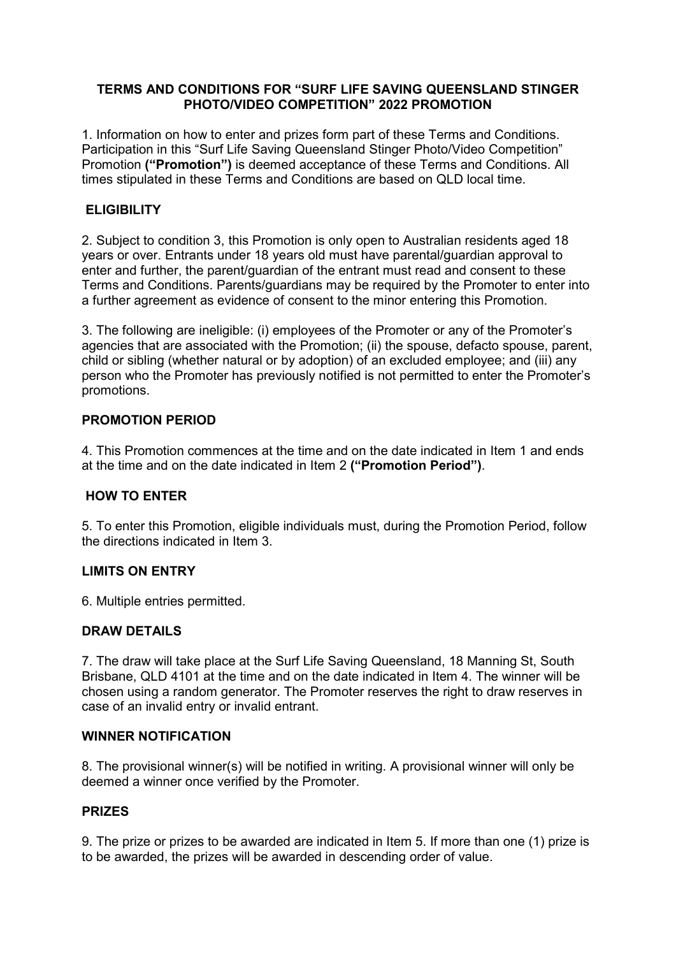# **TERMS AND CONDITIONS FOR "SURF LIFE SAVING QUEENSLAND STINGER PHOTO/VIDEO COMPETITION" 2022 PROMOTION**

1. Information on how to enter and prizes form part of these Terms and Conditions. Participation in this "Surf Life Saving Queensland Stinger Photo/Video Competition" Promotion **("Promotion")** is deemed acceptance of these Terms and Conditions. All times stipulated in these Terms and Conditions are based on QLD local time.

# **ELIGIBILITY**

2. Subject to condition 3, this Promotion is only open to Australian residents aged 18 years or over. Entrants under 18 years old must have parental/guardian approval to enter and further, the parent/guardian of the entrant must read and consent to these Terms and Conditions. Parents/guardians may be required by the Promoter to enter into a further agreement as evidence of consent to the minor entering this Promotion.

3. The following are ineligible: (i) employees of the Promoter or any of the Promoter's agencies that are associated with the Promotion; (ii) the spouse, defacto spouse, parent, child or sibling (whether natural or by adoption) of an excluded employee; and (iii) any person who the Promoter has previously notified is not permitted to enter the Promoter's promotions.

# **PROMOTION PERIOD**

4. This Promotion commences at the time and on the date indicated in Item 1 and ends at the time and on the date indicated in Item 2 **("Promotion Period")**.

### **HOW TO ENTER**

5. To enter this Promotion, eligible individuals must, during the Promotion Period, follow the directions indicated in Item 3.

### **LIMITS ON ENTRY**

6. Multiple entries permitted.

# **DRAW DETAILS**

7. The draw will take place at the Surf Life Saving Queensland, 18 Manning St, South Brisbane, QLD 4101 at the time and on the date indicated in Item 4. The winner will be chosen using a random generator. The Promoter reserves the right to draw reserves in case of an invalid entry or invalid entrant.

### **WINNER NOTIFICATION**

8. The provisional winner(s) will be notified in writing. A provisional winner will only be deemed a winner once verified by the Promoter.

### **PRIZES**

9. The prize or prizes to be awarded are indicated in Item 5. If more than one (1) prize is to be awarded, the prizes will be awarded in descending order of value.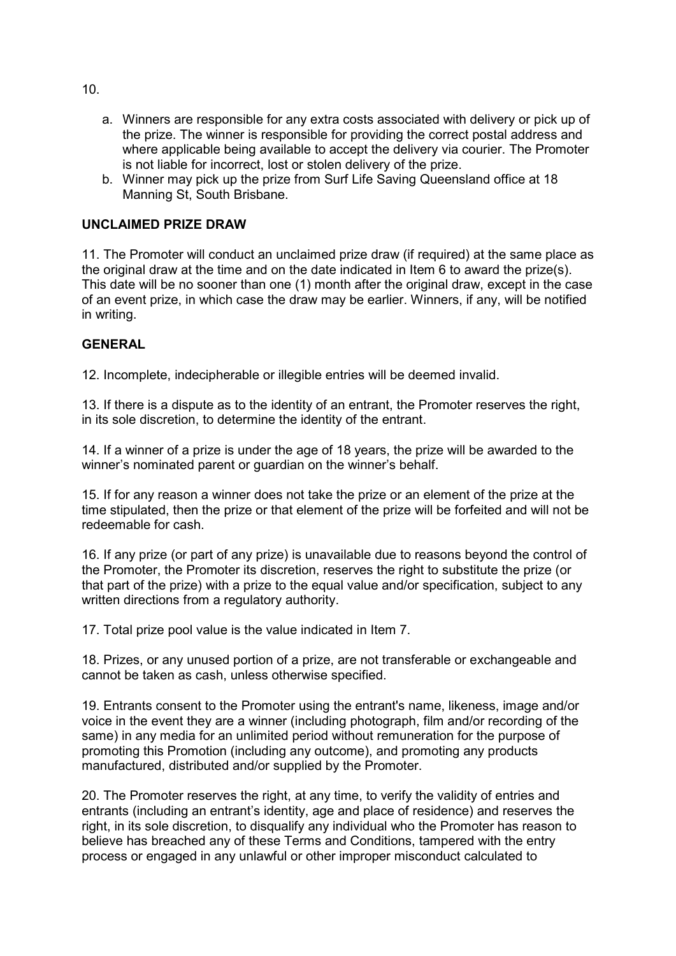- a. Winners are responsible for any extra costs associated with delivery or pick up of the prize. The winner is responsible for providing the correct postal address and where applicable being available to accept the delivery via courier. The Promoter is not liable for incorrect, lost or stolen delivery of the prize.
- b. Winner may pick up the prize from Surf Life Saving Queensland office at 18 Manning St, South Brisbane.

# **UNCLAIMED PRIZE DRAW**

11. The Promoter will conduct an unclaimed prize draw (if required) at the same place as the original draw at the time and on the date indicated in Item 6 to award the prize(s). This date will be no sooner than one (1) month after the original draw, except in the case of an event prize, in which case the draw may be earlier. Winners, if any, will be notified in writing.

### **GENERAL**

12. Incomplete, indecipherable or illegible entries will be deemed invalid.

13. If there is a dispute as to the identity of an entrant, the Promoter reserves the right, in its sole discretion, to determine the identity of the entrant.

14. If a winner of a prize is under the age of 18 years, the prize will be awarded to the winner's nominated parent or guardian on the winner's behalf.

15. If for any reason a winner does not take the prize or an element of the prize at the time stipulated, then the prize or that element of the prize will be forfeited and will not be redeemable for cash.

16. If any prize (or part of any prize) is unavailable due to reasons beyond the control of the Promoter, the Promoter its discretion, reserves the right to substitute the prize (or that part of the prize) with a prize to the equal value and/or specification, subject to any written directions from a regulatory authority.

17. Total prize pool value is the value indicated in Item 7.

18. Prizes, or any unused portion of a prize, are not transferable or exchangeable and cannot be taken as cash, unless otherwise specified.

19. Entrants consent to the Promoter using the entrant's name, likeness, image and/or voice in the event they are a winner (including photograph, film and/or recording of the same) in any media for an unlimited period without remuneration for the purpose of promoting this Promotion (including any outcome), and promoting any products manufactured, distributed and/or supplied by the Promoter.

20. The Promoter reserves the right, at any time, to verify the validity of entries and entrants (including an entrant's identity, age and place of residence) and reserves the right, in its sole discretion, to disqualify any individual who the Promoter has reason to believe has breached any of these Terms and Conditions, tampered with the entry process or engaged in any unlawful or other improper misconduct calculated to

10.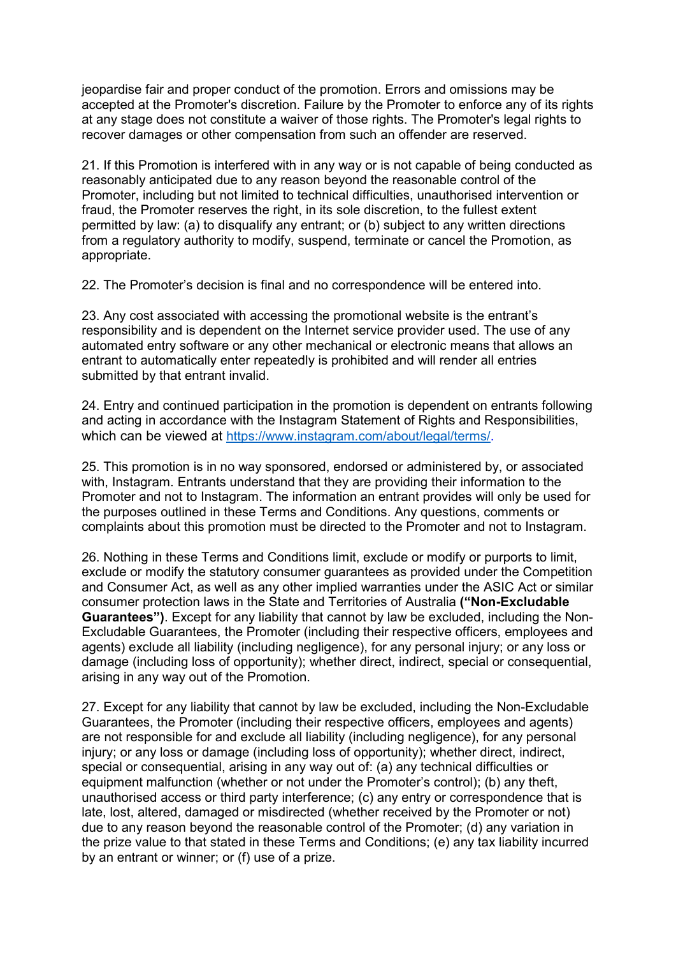jeopardise fair and proper conduct of the promotion. Errors and omissions may be accepted at the Promoter's discretion. Failure by the Promoter to enforce any of its rights at any stage does not constitute a waiver of those rights. The Promoter's legal rights to recover damages or other compensation from such an offender are reserved.

21. If this Promotion is interfered with in any way or is not capable of being conducted as reasonably anticipated due to any reason beyond the reasonable control of the Promoter, including but not limited to technical difficulties, unauthorised intervention or fraud, the Promoter reserves the right, in its sole discretion, to the fullest extent permitted by law: (a) to disqualify any entrant; or (b) subject to any written directions from a regulatory authority to modify, suspend, terminate or cancel the Promotion, as appropriate.

22. The Promoter's decision is final and no correspondence will be entered into.

23. Any cost associated with accessing the promotional website is the entrant's responsibility and is dependent on the Internet service provider used. The use of any automated entry software or any other mechanical or electronic means that allows an entrant to automatically enter repeatedly is prohibited and will render all entries submitted by that entrant invalid.

24. Entry and continued participation in the promotion is dependent on entrants following and acting in accordance with the Instagram Statement of Rights and Responsibilities, which can be viewed at [https://www.instagram.com/about/legal/terms/.](https://www.instagram.com/about/legal/terms/)

25. This promotion is in no way sponsored, endorsed or administered by, or associated with, Instagram. Entrants understand that they are providing their information to the Promoter and not to Instagram. The information an entrant provides will only be used for the purposes outlined in these Terms and Conditions. Any questions, comments or complaints about this promotion must be directed to the Promoter and not to Instagram.

26. Nothing in these Terms and Conditions limit, exclude or modify or purports to limit, exclude or modify the statutory consumer guarantees as provided under the Competition and Consumer Act, as well as any other implied warranties under the ASIC Act or similar consumer protection laws in the State and Territories of Australia **("Non-Excludable Guarantees")**. Except for any liability that cannot by law be excluded, including the Non-Excludable Guarantees, the Promoter (including their respective officers, employees and agents) exclude all liability (including negligence), for any personal injury; or any loss or damage (including loss of opportunity); whether direct, indirect, special or consequential, arising in any way out of the Promotion.

27. Except for any liability that cannot by law be excluded, including the Non-Excludable Guarantees, the Promoter (including their respective officers, employees and agents) are not responsible for and exclude all liability (including negligence), for any personal injury; or any loss or damage (including loss of opportunity); whether direct, indirect, special or consequential, arising in any way out of: (a) any technical difficulties or equipment malfunction (whether or not under the Promoter's control); (b) any theft, unauthorised access or third party interference; (c) any entry or correspondence that is late, lost, altered, damaged or misdirected (whether received by the Promoter or not) due to any reason beyond the reasonable control of the Promoter; (d) any variation in the prize value to that stated in these Terms and Conditions; (e) any tax liability incurred by an entrant or winner; or (f) use of a prize.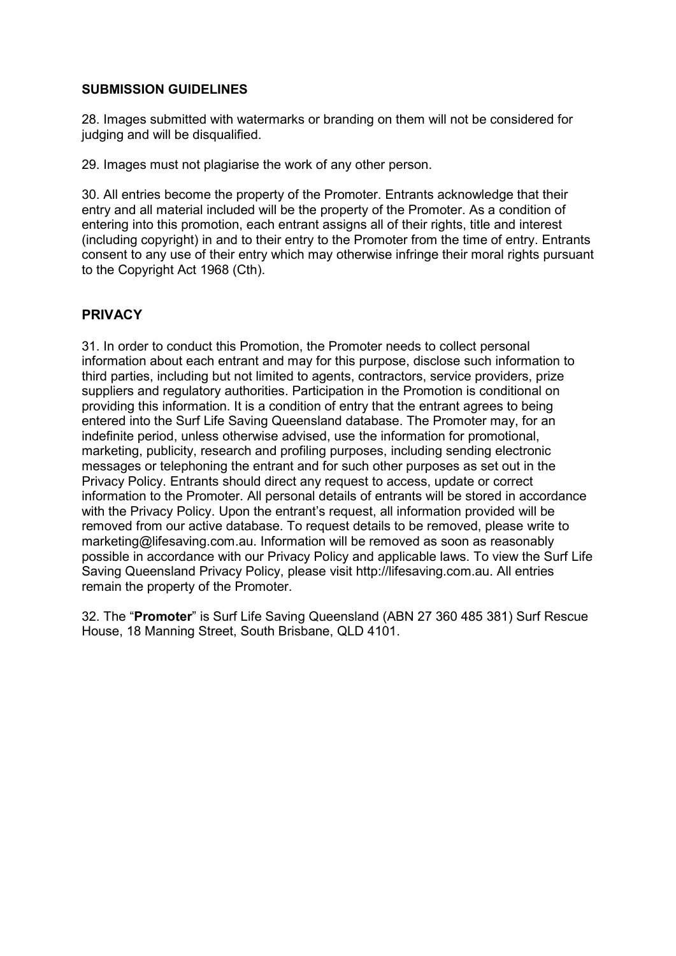## **SUBMISSION GUIDELINES**

28. Images submitted with watermarks or branding on them will not be considered for judging and will be disqualified.

29. Images must not plagiarise the work of any other person.

30. All entries become the property of the Promoter. Entrants acknowledge that their entry and all material included will be the property of the Promoter. As a condition of entering into this promotion, each entrant assigns all of their rights, title and interest (including copyright) in and to their entry to the Promoter from the time of entry. Entrants consent to any use of their entry which may otherwise infringe their moral rights pursuant to the Copyright Act 1968 (Cth).

# **PRIVACY**

31. In order to conduct this Promotion, the Promoter needs to collect personal information about each entrant and may for this purpose, disclose such information to third parties, including but not limited to agents, contractors, service providers, prize suppliers and regulatory authorities. Participation in the Promotion is conditional on providing this information. It is a condition of entry that the entrant agrees to being entered into the Surf Life Saving Queensland database. The Promoter may, for an indefinite period, unless otherwise advised, use the information for promotional, marketing, publicity, research and profiling purposes, including sending electronic messages or telephoning the entrant and for such other purposes as set out in the Privacy Policy. Entrants should direct any request to access, update or correct information to the Promoter. All personal details of entrants will be stored in accordance with the Privacy Policy. Upon the entrant's request, all information provided will be removed from our active database. To request details to be removed, please write to marketing@lifesaving.com.au. Information will be removed as soon as reasonably possible in accordance with our Privacy Policy and applicable laws. To view the Surf Life Saving Queensland Privacy Policy, please visit http://lifesaving.com.au. All entries remain the property of the Promoter.

32. The "**Promoter**" is Surf Life Saving Queensland (ABN 27 360 485 381) Surf Rescue House, 18 Manning Street, South Brisbane, QLD 4101.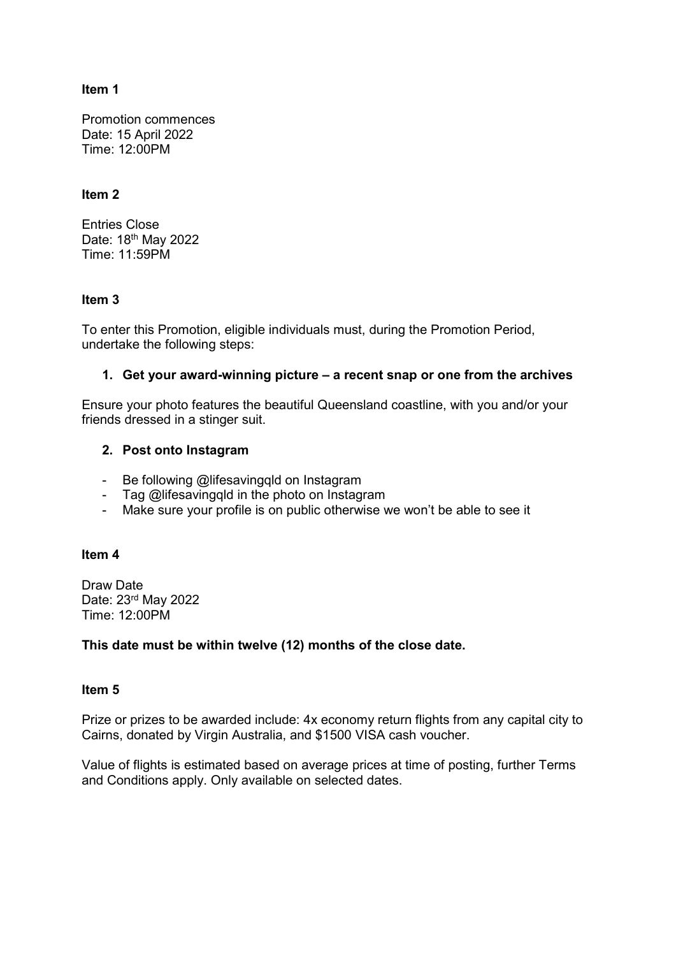## **Item 1**

Promotion commences Date: 15 April 2022 Time: 12:00PM

## **Item 2**

Entries Close Date: 18th May 2022 Time: 11:59PM

# **Item 3**

To enter this Promotion, eligible individuals must, during the Promotion Period, undertake the following steps:

# **1. Get your award-winning picture – a recent snap or one from the archives**

Ensure your photo features the beautiful Queensland coastline, with you and/or your friends dressed in a stinger suit.

# **2. Post onto Instagram**

- Be following @lifesavingqld on Instagram
- Tag @lifesavingqld in the photo on Instagram
- Make sure your profile is on public otherwise we won't be able to see it

### **Item 4**

Draw Date Date: 23rd May 2022 Time: 12:00PM

# **This date must be within twelve (12) months of the close date.**

### **Item 5**

Prize or prizes to be awarded include: 4x economy return flights from any capital city to Cairns, donated by Virgin Australia, and \$1500 VISA cash voucher.

Value of flights is estimated based on average prices at time of posting, further Terms and Conditions apply. Only available on selected dates.